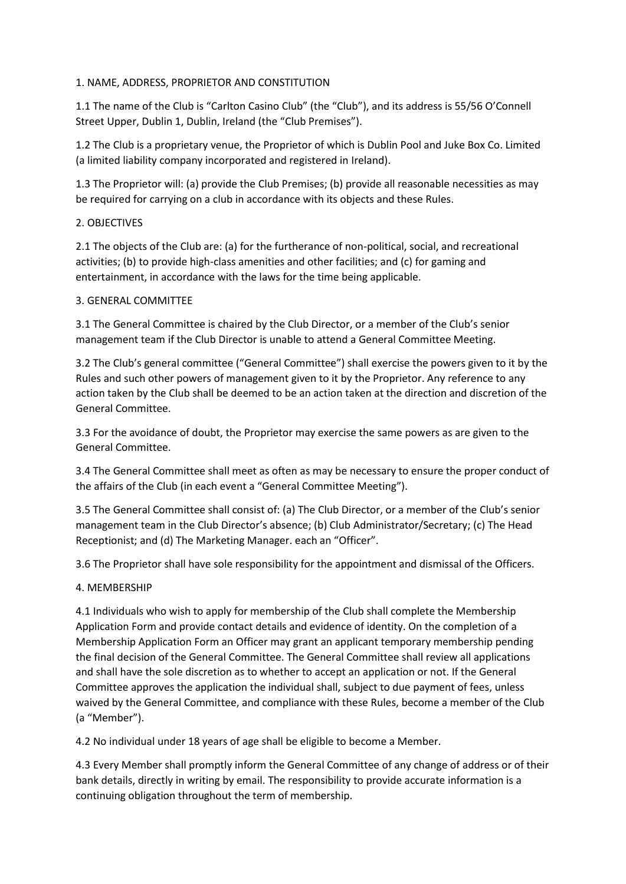## 1. NAME, ADDRESS, PROPRIETOR AND CONSTITUTION

1.1 The name of the Club is "Carlton Casino Club" (the "Club"), and its address is 55/56 O'Connell Street Upper, Dublin 1, Dublin, Ireland (the "Club Premises").

1.2 The Club is a proprietary venue, the Proprietor of which is Dublin Pool and Juke Box Co. Limited (a limited liability company incorporated and registered in Ireland).

1.3 The Proprietor will: (a) provide the Club Premises; (b) provide all reasonable necessities as may be required for carrying on a club in accordance with its objects and these Rules.

## 2. OBJECTIVES

2.1 The objects of the Club are: (a) for the furtherance of non-political, social, and recreational activities; (b) to provide high-class amenities and other facilities; and (c) for gaming and entertainment, in accordance with the laws for the time being applicable.

## 3. GENERAL COMMITTEE

3.1 The General Committee is chaired by the Club Director, or a member of the Club's senior management team if the Club Director is unable to attend a General Committee Meeting.

3.2 The Club's general committee ("General Committee") shall exercise the powers given to it by the Rules and such other powers of management given to it by the Proprietor. Any reference to any action taken by the Club shall be deemed to be an action taken at the direction and discretion of the General Committee.

3.3 For the avoidance of doubt, the Proprietor may exercise the same powers as are given to the General Committee.

3.4 The General Committee shall meet as often as may be necessary to ensure the proper conduct of the affairs of the Club (in each event a "General Committee Meeting").

3.5 The General Committee shall consist of: (a) The Club Director, or a member of the Club's senior management team in the Club Director's absence; (b) Club Administrator/Secretary; (c) The Head Receptionist; and (d) The Marketing Manager. each an "Officer".

3.6 The Proprietor shall have sole responsibility for the appointment and dismissal of the Officers.

# 4. MEMBERSHIP

4.1 Individuals who wish to apply for membership of the Club shall complete the Membership Application Form and provide contact details and evidence of identity. On the completion of a Membership Application Form an Officer may grant an applicant temporary membership pending the final decision of the General Committee. The General Committee shall review all applications and shall have the sole discretion as to whether to accept an application or not. If the General Committee approves the application the individual shall, subject to due payment of fees, unless waived by the General Committee, and compliance with these Rules, become a member of the Club (a "Member").

4.2 No individual under 18 years of age shall be eligible to become a Member.

4.3 Every Member shall promptly inform the General Committee of any change of address or of their bank details, directly in writing by email. The responsibility to provide accurate information is a continuing obligation throughout the term of membership.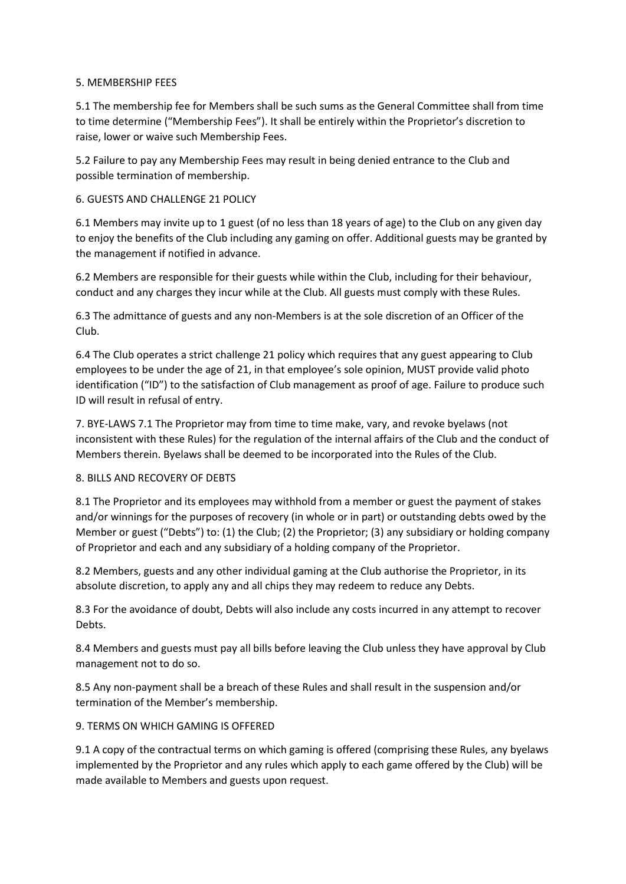#### 5. MEMBERSHIP FEES

5.1 The membership fee for Members shall be such sums as the General Committee shall from time to time determine ("Membership Fees"). It shall be entirely within the Proprietor's discretion to raise, lower or waive such Membership Fees.

5.2 Failure to pay any Membership Fees may result in being denied entrance to the Club and possible termination of membership.

# 6. GUESTS AND CHALLENGE 21 POLICY

6.1 Members may invite up to 1 guest (of no less than 18 years of age) to the Club on any given day to enjoy the benefits of the Club including any gaming on offer. Additional guests may be granted by the management if notified in advance.

6.2 Members are responsible for their guests while within the Club, including for their behaviour, conduct and any charges they incur while at the Club. All guests must comply with these Rules.

6.3 The admittance of guests and any non-Members is at the sole discretion of an Officer of the Club.

6.4 The Club operates a strict challenge 21 policy which requires that any guest appearing to Club employees to be under the age of 21, in that employee's sole opinion, MUST provide valid photo identification ("ID") to the satisfaction of Club management as proof of age. Failure to produce such ID will result in refusal of entry.

7. BYE-LAWS 7.1 The Proprietor may from time to time make, vary, and revoke byelaws (not inconsistent with these Rules) for the regulation of the internal affairs of the Club and the conduct of Members therein. Byelaws shall be deemed to be incorporated into the Rules of the Club.

#### 8. BILLS AND RECOVERY OF DEBTS

8.1 The Proprietor and its employees may withhold from a member or guest the payment of stakes and/or winnings for the purposes of recovery (in whole or in part) or outstanding debts owed by the Member or guest ("Debts") to: (1) the Club; (2) the Proprietor; (3) any subsidiary or holding company of Proprietor and each and any subsidiary of a holding company of the Proprietor.

8.2 Members, guests and any other individual gaming at the Club authorise the Proprietor, in its absolute discretion, to apply any and all chips they may redeem to reduce any Debts.

8.3 For the avoidance of doubt, Debts will also include any costs incurred in any attempt to recover Debts.

8.4 Members and guests must pay all bills before leaving the Club unless they have approval by Club management not to do so.

8.5 Any non-payment shall be a breach of these Rules and shall result in the suspension and/or termination of the Member's membership.

# 9. TERMS ON WHICH GAMING IS OFFERED

9.1 A copy of the contractual terms on which gaming is offered (comprising these Rules, any byelaws implemented by the Proprietor and any rules which apply to each game offered by the Club) will be made available to Members and guests upon request.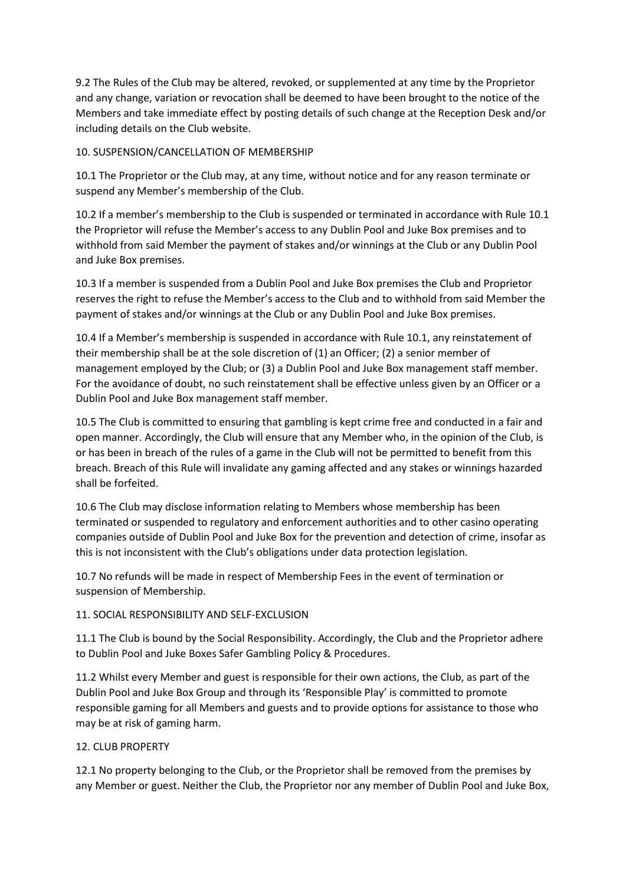9.2 The Rules of the Club may be altered, revoked, or supplemented at any time by the Proprietor and any change, variation or revocation shall be deemed to have been brought to the notice of the Members and take immediate effect by posting details of such change at the Reception Desk and/or including details on the Club website.

## 10. SUSPENSION/CANCELLATION OF MEMBERSHIP

10.1 The Proprietor or the Club may, at any time, without notice and for any reason terminate or suspend any Member's membership of the Club.

10.2 If a member's membership to the Club is suspended or terminated in accordance with Rule 10.1 the Proprietor will refuse the Member's access to any Dublin Pool and Juke Box premises and to withhold from said Member the payment of stakes and/or winnings at the Club or any Dublin Pool and Juke Box premises.

10.3 If a member is suspended from a Dublin Pool and Juke Box premises the Club and Proprietor reserves the right to refuse the Member's access to the Club and to withhold from said Member the payment of stakes and/or winnings at the Club or any Dublin Pool and Juke Box premises.

10.4 If a Member's membership is suspended in accordance with Rule 10.1, any reinstatement of their membership shall be at the sole discretion of (1) an Officer; (2) a senior member of management employed by the Club; or (3) a Dublin Pool and Juke Box management staff member. For the avoidance of doubt, no such reinstatement shall be effective unless given by an Officer or a Dublin Pool and Juke Box management staff member.

10.5 The Club is committed to ensuring that gambling is kept crime free and conducted in a fair and open manner. Accordingly, the Club will ensure that any Member who, in the opinion of the Club, is or has been in breach of the rules of a game in the Club will not be permitted to benefit from this breach. Breach of this Rule will invalidate any gaming affected and any stakes or winnings hazarded shall be forfeited.

10.6 The Club may disclose information relating to Members whose membership has been terminated or suspended to regulatory and enforcement authorities and to other casino operating companies outside of Dublin Pool and Juke Box for the prevention and detection of crime, insofar as this is not inconsistent with the Club's obligations under data protection legislation.

10.7 No refunds will be made in respect of Membership Fees in the event of termination or suspension of Membership.

# 11. SOCIAL RESPONSIBILITY AND SELF-EXCLUSION

11.1 The Club is bound by the Social Responsibility. Accordingly, the Club and the Proprietor adhere to Dublin Pool and Juke Boxes Safer Gambling Policy & Procedures.

11.2 Whilst every Member and guest is responsible for their own actions, the Club, as part of the Dublin Pool and Juke Box Group and through its 'Responsible Play' is committed to promote responsible gaming for all Members and guests and to provide options for assistance to those who may be at risk of gaming harm.

# 12. CLUB PROPERTY

12.1 No property belonging to the Club, or the Proprietor shall be removed from the premises by any Member or guest. Neither the Club, the Proprietor nor any member of Dublin Pool and Juke Box,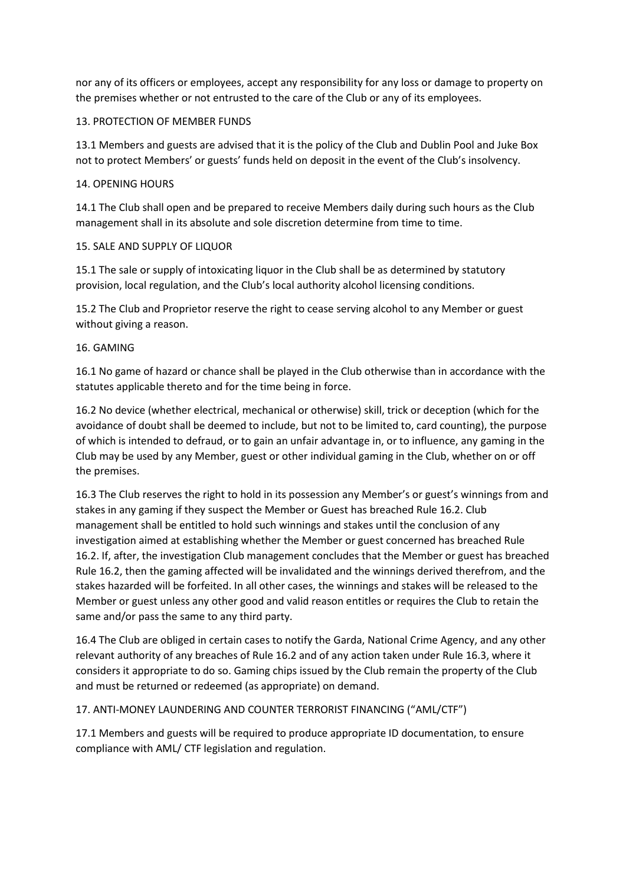nor any of its officers or employees, accept any responsibility for any loss or damage to property on the premises whether or not entrusted to the care of the Club or any of its employees.

## 13. PROTECTION OF MEMBER FUNDS

13.1 Members and guests are advised that it is the policy of the Club and Dublin Pool and Juke Box not to protect Members' or guests' funds held on deposit in the event of the Club's insolvency.

## 14. OPENING HOURS

14.1 The Club shall open and be prepared to receive Members daily during such hours as the Club management shall in its absolute and sole discretion determine from time to time.

## 15. SALE AND SUPPLY OF LIQUOR

15.1 The sale or supply of intoxicating liquor in the Club shall be as determined by statutory provision, local regulation, and the Club's local authority alcohol licensing conditions.

15.2 The Club and Proprietor reserve the right to cease serving alcohol to any Member or guest without giving a reason.

## 16. GAMING

16.1 No game of hazard or chance shall be played in the Club otherwise than in accordance with the statutes applicable thereto and for the time being in force.

16.2 No device (whether electrical, mechanical or otherwise) skill, trick or deception (which for the avoidance of doubt shall be deemed to include, but not to be limited to, card counting), the purpose of which is intended to defraud, or to gain an unfair advantage in, or to influence, any gaming in the Club may be used by any Member, guest or other individual gaming in the Club, whether on or off the premises.

16.3 The Club reserves the right to hold in its possession any Member's or guest's winnings from and stakes in any gaming if they suspect the Member or Guest has breached Rule 16.2. Club management shall be entitled to hold such winnings and stakes until the conclusion of any investigation aimed at establishing whether the Member or guest concerned has breached Rule 16.2. If, after, the investigation Club management concludes that the Member or guest has breached Rule 16.2, then the gaming affected will be invalidated and the winnings derived therefrom, and the stakes hazarded will be forfeited. In all other cases, the winnings and stakes will be released to the Member or guest unless any other good and valid reason entitles or requires the Club to retain the same and/or pass the same to any third party.

16.4 The Club are obliged in certain cases to notify the Garda, National Crime Agency, and any other relevant authority of any breaches of Rule 16.2 and of any action taken under Rule 16.3, where it considers it appropriate to do so. Gaming chips issued by the Club remain the property of the Club and must be returned or redeemed (as appropriate) on demand.

#### 17. ANTI-MONEY LAUNDERING AND COUNTER TERRORIST FINANCING ("AML/CTF")

17.1 Members and guests will be required to produce appropriate ID documentation, to ensure compliance with AML/ CTF legislation and regulation.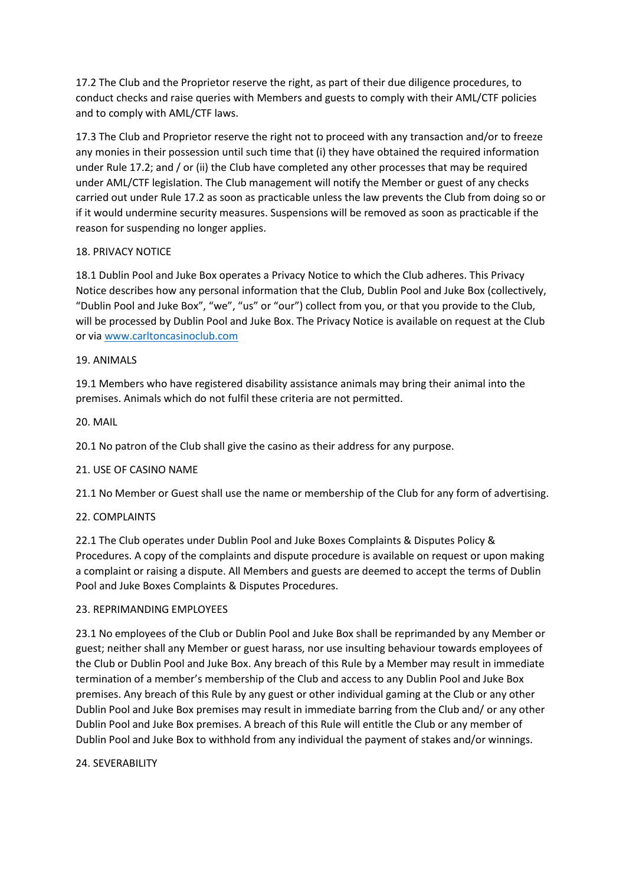17.2 The Club and the Proprietor reserve the right, as part of their due diligence procedures, to conduct checks and raise queries with Members and guests to comply with their AML/CTF policies and to comply with AML/CTF laws.

17.3 The Club and Proprietor reserve the right not to proceed with any transaction and/or to freeze any monies in their possession until such time that (i) they have obtained the required information under Rule 17.2; and / or (ii) the Club have completed any other processes that may be required under AML/CTF legislation. The Club management will notify the Member or guest of any checks carried out under Rule 17.2 as soon as practicable unless the law prevents the Club from doing so or if it would undermine security measures. Suspensions will be removed as soon as practicable if the reason for suspending no longer applies.

## 18. PRIVACY NOTICE

18.1 Dublin Pool and Juke Box operates a Privacy Notice to which the Club adheres. This Privacy Notice describes how any personal information that the Club, Dublin Pool and Juke Box (collectively, "Dublin Pool and Juke Box", "we", "us" or "our") collect from you, or that you provide to the Club, will be processed by Dublin Pool and Juke Box. The Privacy Notice is available on request at the Club or via [www.carltoncasinoclub.com](http://www.carltoncasinoclub.com/)

## 19. ANIMALS

19.1 Members who have registered disability assistance animals may bring their animal into the premises. Animals which do not fulfil these criteria are not permitted.

## 20. MAIL

20.1 No patron of the Club shall give the casino as their address for any purpose.

#### 21. USE OF CASINO NAME

21.1 No Member or Guest shall use the name or membership of the Club for any form of advertising.

#### 22. COMPLAINTS

22.1 The Club operates under Dublin Pool and Juke Boxes Complaints & Disputes Policy & Procedures. A copy of the complaints and dispute procedure is available on request or upon making a complaint or raising a dispute. All Members and guests are deemed to accept the terms of Dublin Pool and Juke Boxes Complaints & Disputes Procedures.

#### 23. REPRIMANDING EMPLOYEES

23.1 No employees of the Club or Dublin Pool and Juke Box shall be reprimanded by any Member or guest; neither shall any Member or guest harass, nor use insulting behaviour towards employees of the Club or Dublin Pool and Juke Box. Any breach of this Rule by a Member may result in immediate termination of a member's membership of the Club and access to any Dublin Pool and Juke Box premises. Any breach of this Rule by any guest or other individual gaming at the Club or any other Dublin Pool and Juke Box premises may result in immediate barring from the Club and/ or any other Dublin Pool and Juke Box premises. A breach of this Rule will entitle the Club or any member of Dublin Pool and Juke Box to withhold from any individual the payment of stakes and/or winnings.

#### 24. SEVERABILITY